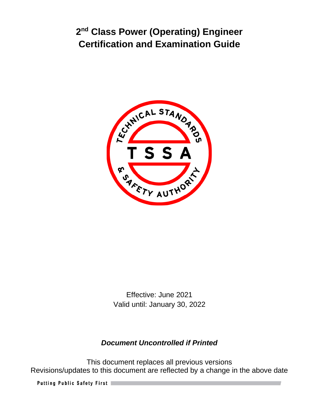

Effective: June 2021 Valid until: January 30, 2022

# *Document Uncontrolled if Printed*

This document replaces all previous versions Revisions/updates to this document are reflected by a change in the above date

Putting Public Safety First |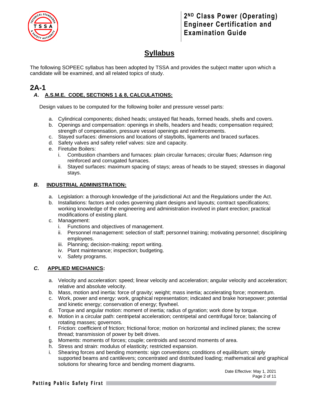

# **Syllabus**

The following SOPEEC syllabus has been adopted by TSSA and provides the subject matter upon which a candidate will be examined, and all related topics of study.

### **2A-1** *A***. A.S.M.E. CODE, SECTIONS 1 & 8, CALCULATIONS:**

Design values to be computed for the following boiler and pressure vessel parts:

- a. Cylindrical components; dished heads; unstayed flat heads, formed heads, shells and covers.
- b. Openings and compensation: openings in shells, headers and heads; compensation required; strength of compensation, pressure vessel openings and reinforcements.
- c. Stayed surfaces: dimensions and locations of staybolts, ligaments and braced surfaces.
- d. Safety valves and safety relief valves: size and capacity.
- e. Firetube Boilers:
	- i. Combustion chambers and furnaces: plain circular furnaces; circular flues; Adamson ring reinforced and corrugated furnaces.
	- ii. Stayed surfaces: maximum spacing of stays; areas of heads to be stayed; stresses in diagonal stays.

#### *B***. INDUSTRIAL ADMINISTRATION:**

- a. Legislation: a thorough knowledge of the jurisdictional Act and the Regulations under the Act.
- b. Installations: factors and codes governing plant designs and layouts; contract specifications; working knowledge of the engineering and administration involved in plant erection; practical modifications of existing plant.
- c. Management:
	- i. Functions and objectives of management.
	- ii. Personnel management: selection of staff; personnel training; motivating personnel; disciplining employees.
	- iii. Planning; decision-making; report writing.
	- iv. Plant maintenance; inspection; budgeting.
	- v. Safety programs.

#### *C***. APPLIED MECHANICS:**

- a. Velocity and acceleration: speed; linear velocity and acceleration; angular velocity and acceleration; relative and absolute velocity.
- b. Mass, motion and inertia: force of gravity; weight; mass inertia; accelerating force; momentum.
- c. Work, power and energy: work, graphical representation; indicated and brake horsepower; potential and kinetic energy; conservation of energy; flywheel.
- d. Torque and angular motion: moment of inertia; radius of gyration; work done by torque.
- e. Motion in a circular path: centripetal acceleration; centripetal and centrifugal force; balancing of rotating masses; governors.
- f. Friction: coefficient of friction; frictional force; motion on horizontal and inclined planes; the screw thread; transmission of power by belt drives.
- g. Moments: moments of forces; couple; centroids and second moments of area.
- h. Stress and strain: modulus of elasticity; restricted expansion.
- i. Shearing forces and bending moments: sign conventions; conditions of equilibrium; simply supported beams and cantilevers; concentrated and distributed loading; mathematical and graphical solutions for shearing force and bending moment diagrams.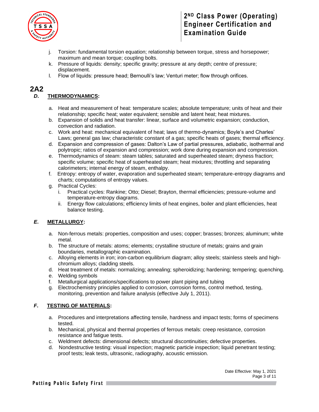

- j. Torsion: fundamental torsion equation; relationship between torque, stress and horsepower; maximum and mean torque; coupling bolts.
- k. Pressure of liquids: density; specific gravity; pressure at any depth; centre of pressure; displacement.
- l. Flow of liquids: pressure head; Bernoulli's law; Venturi meter; flow through orifices.

### **2A2**

#### *D***. THERMODYNAMICS:**

- a. Heat and measurement of heat: temperature scales; absolute temperature; units of heat and their relationship; specific heat; water equivalent; sensible and latent heat; heat mixtures.
- b. Expansion of solids and heat transfer: linear, surface and volumetric expansion; conduction, convection and radiation.
- c. Work and heat: mechanical equivalent of heat; laws of thermo-dynamics; Boyle's and Charles' Laws; general gas law; characteristic constant of a gas; specific heats of gases; thermal efficiency.
- d. Expansion and compression of gases: Dalton's Law of partial pressures, adiabatic, isothermal and polytropic; ratios of expansion and compression; work done during expansion and compression.
- e. Thermodynamics of steam: steam tables; saturated and superheated steam; dryness fraction; specific volume; specific heat of superheated steam; heat mixtures; throttling and separating calorimeters; internal energy of steam, enthalpy.
- f. Entropy: entropy of water, evaporation and superheated steam; temperature-entropy diagrams and charts; computations of entropy values.
- g. Practical Cycles:
	- i. Practical cycles: Rankine; Otto; Diesel; Brayton, thermal efficiencies; pressure-volume and temperature-entropy diagrams.
	- ii. Energy flow calculations; efficiency limits of heat engines, boiler and plant efficiencies, heat balance testing.

#### *E***. METALLURGY:**

- a. Non-ferrous metals: properties, composition and uses; copper; brasses; bronzes; aluminum; white metal.
- b. The structure of metals: atoms; elements; crystalline structure of metals; grains and grain boundaries, metallographic examination.
- c. Alloying elements in iron; iron-carbon equilibrium diagram; alloy steels; stainless steels and highchromium alloys; cladding steels.
- d. Heat treatment of metals: normalizing; annealing; spheroidizing; hardening; tempering; quenching.
- e. Welding symbols
- f. Metallurgical applications/specifications to power plant piping and tubing
- g. Electrochemistry principles applied to corrosion, corrosion forms, control method, testing, monitoring, prevention and failure analysis (effective July 1, 2011).

#### *F***. TESTING OF MATERIALS:**

- a. Procedures and interpretations affecting tensile, hardness and impact tests; forms of specimens tested.
- b. Mechanical, physical and thermal properties of ferrous metals: creep resistance, corrosion resistance and fatigue tests.
- c. Weldment defects: dimensional defects; structural discontinuities; defective properties.
- d. Nondestructive testing: visual inspection; magnetic particle inspection; liquid penetrant testing; proof tests; leak tests, ultrasonic, radiography, acoustic emission.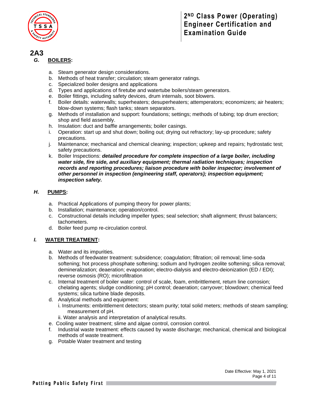

### **2A3**

#### *G***. BOILERS:**

- a. Steam generator design considerations.
- b. Methods of heat transfer; circulation; steam generator ratings.
- c. Specialized boiler designs and applications
- d. Types and applications of firetube and watertube boilers/steam generators.
- e. Boiler fittings, including safety devices, drum internals, soot blowers.
- f. Boiler details: waterwalls; superheaters; desuperheaters; attemperators; economizers; air heaters; blow-down systems; flash tanks; steam separators.
- g. Methods of installation and support: foundations; settings; methods of tubing; top drum erection; shop and field assembly.
- h. Insulation: duct and baffle arrangements; boiler casings.
- i. Operation: start up and shut down; boiling out; drying out refractory; lay-up procedure; safety precautions.
- j. Maintenance; mechanical and chemical cleaning; inspection; upkeep and repairs; hydrostatic test; safety precautions.
- k. Boiler Inspections: *detailed procedure for complete inspection of a large boiler, including water side, fire side, and auxiliary equipment; thermal radiation techniques; inspection records and reporting procedures; liaison procedure with boiler inspector; involvement of other personnel in inspection (engineering staff, operators); inspection equipment; inspection safety.*

#### *H***. PUMPS:**

- a. Practical Applications of pumping theory for power plants;
- b. Installation; maintenance; operation/control.
- c. Constructional details including impeller types; seal selection; shaft alignment; thrust balancers; tachometers.
- d. Boiler feed pump re-circulation control.

#### *I.* **WATER TREATMENT:**

- a. Water and its impurities.
- b. Methods of feedwater treatment: subsidence; coagulation; filtration; oil removal; lime-soda softening; hot process phosphate softening; sodium and hydrogen zeolite softening; silica removal; demineralization; deaeration; evaporation; electro-dialysis and electro-deionization (ED / EDI); reverse osmosis (RO); microfiltration
- c. Internal treatment of boiler water: control of scale, foam, embrittlement, return line corrosion; chelating agents; sludge conditioning; pH control; deaeration; carryover; blowdown; chemical feed systems; silica turbine blade deposits.
- d. Analytical methods and equipment: i. Instruments: embrittlement detectors; steam purity; total solid meters; methods of steam sampling; measurement of pH.
	- ii. Water analysis and interpretation of analytical results.
- e. Cooling water treatment; slime and algae control, corrosion control.
- f. Industrial waste treatment: effects caused by waste discharge; mechanical, chemical and biological methods of waste treatment.
- g. Potable Water treatment and testing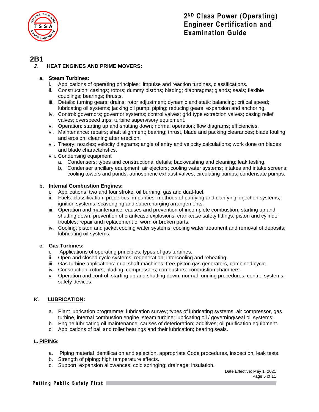

### **2B1**

#### *J.* **HEAT ENGINES AND PRIME MOVERS:**

#### **a. Steam Turbines:**

- i. Applications of operating principles: impulse and reaction turbines, classifications.
- ii. Construction: casings; rotors; dummy pistons; blading; diaphragms; glands; seals; flexible couplings; bearings; thrusts.
- iii. Details: turning gears; drains; rotor adjustment; dynamic and static balancing; critical speed; lubricating oil systems; jacking oil pump; piping; reducing gears; expansion and anchoring.
- iv. Control: governors; governor systems; control valves; grid type extraction valves; casing relief valves; overspeed trips; turbine supervisory equipment.
- v. Operation: starting up and shutting down; normal operation; flow diagrams; efficiencies.
- vi. Maintenance: repairs; shaft alignment; bearing; thrust, blade and packing clearances; blade fouling and erosion; cleaning after erection.
- vii. Theory: nozzles; velocity diagrams; angle of entry and velocity calculations; work done on blades and blade characteristics.
- viii. Condensing equipment
	- a. Condensers: types and constructional details; backwashing and cleaning; leak testing.
	- b. Condenser ancillary equipment: air ejectors; cooling water systems; intakes and intake screens; cooling towers and ponds; atmospheric exhaust valves; circulating pumps; condensate pumps.

#### **b. Internal Combustion Engines:**

- Applications: two and four stroke, oil burning, gas and dual-fuel.
- ii. Fuels: classification; properties; impurities; methods of purifying and clarifying; injection systems; ignition systems; scavenging and supercharging arrangements.
- iii. Operation and maintenance: causes and prevention of incomplete combustion; starting up and shutting down: prevention of crankcase explosions; crankcase safety fittings; piston and cylinder troubles; repair and replacement of worn or broken parts.
- iv. Cooling: piston and jacket cooling water systems; cooling water treatment and removal of deposits; lubricating oil systems.

#### **c. Gas Turbines:**

- i. Applications of operating principles; types of gas turbines.
- ii. Open and closed cycle systems; regeneration; intercooling and reheating.
- iii. Gas turbine applications: dual shaft machines; free-piston gas generators, combined cycle.
- iv. Construction: rotors; blading; compressors; combustors: combustion chambers.
- v. Operation and control: starting up and shutting down; normal running procedures; control systems; safety devices.

#### *K.* **LUBRICATION:**

- a. Plant lubrication programme: lubrication survey; types of lubricating systems, air compressor, gas turbine, internal combustion engine, steam turbine; lubricating oil / governing/seal oil systems;
- b. Engine lubricating oil maintenance: causes of deterioration; additives; oil purification equipment.
- c. Applications of ball and roller bearings and their lubrication; bearing seals.

#### *L.* **PIPING:**

- a. Piping material identification and selection, appropriate Code procedures, inspection, leak tests.
- b. Strength of piping; high temperature effects.
- c. Support; expansion allowances; cold springing; drainage; insulation.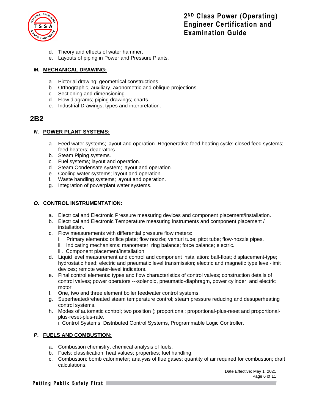

- d. Theory and effects of water hammer.
- e. Layouts of piping in Power and Pressure Plants.

#### *M.* **MECHANICAL DRAWING:**

- a. Pictorial drawing; geometrical constructions.
- b. Orthographic, auxiliary, axonometric and oblique projections.
- c. Sectioning and dimensioning.
- d. Flow diagrams; piping drawings; charts.
- e. Industrial Drawings, types and interpretation.

### **2B2**

#### *N***. POWER PLANT SYSTEMS:**

- a. Feed water systems; layout and operation. Regenerative feed heating cycle; closed feed systems; feed heaters; deaerators.
- b. Steam Piping systems.
- c. Fuel systems; layout and operation.
- d. Steam Condensate system; layout and operation.
- e. Cooling water systems; layout and operation.
- f. Waste handling systems; layout and operation.
- g. Integration of powerplant water systems.

#### *O***. CONTROL INSTRUMENTATION:**

- a. Electrical and Electronic Pressure measuring devices and component placement/installation.
- b. Electrical and Electronic Temperature measuring instruments and component placement / installation.
- c. Flow measurements with differential pressure flow meters:
	- i. Primary elements: orifice plate; flow nozzle; venturi tube; pitot tube; flow-nozzle pipes.
	- ii. Indicating mechanisms: manometer; ring balance; force balance; electric.
	- iii. Component placement/installation.
- d. Liquid level measurement and control and component installation: ball-float; displacement-type; hydrostatic head; electric and pneumatic level transmission; electric and magnetic type level-limit devices; remote water-level indicators.
- e. Final control elements: types and flow characteristics of control valves; construction details of control valves; power operators ---solenoid, pneumatic-diaphragm, power cylinder, and electric motor.
- f. One, two and three element boiler feedwater control systems.
- g. Superheated/reheated steam temperature control; steam pressure reducing and desuperheating control systems.
- h. Modes of automatic control; two position (; proportional; proportional-plus-reset and proportionalplus-reset-plus-rate.

i. Control Systems: Distributed Control Systems, Programmable Logic Controller.

#### *P***. FUELS AND COMBUSTION:**

- a. Combustion chemistry; chemical analysis of fuels.
- b. Fuels: classification; heat values; properties; fuel handling.
- c. Combustion: bomb calorimeter; analysis of flue gases; quantity of air required for combustion; draft calculations.

#### Putting Public Safety First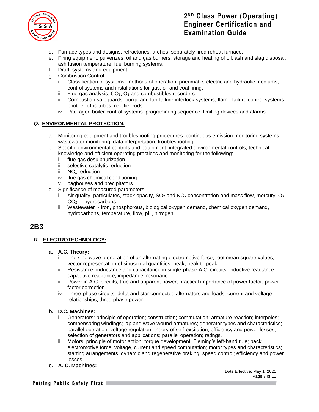

- d. Furnace types and designs; refractories; arches; separately fired reheat furnace.
- e. Firing equipment: pulverizes; oil and gas burners; storage and heating of oil; ash and slag disposal; ash fusion temperature, fuel burning systems.
- f. Draft: systems and equipment.
- g. Combustion Control:
	- i. Classification of systems; methods of operation; pneumatic, electric and hydraulic mediums; control systems and installations for gas, oil and coal firing.
	- ii. Flue-gas analysis;  $CO<sub>2</sub>$ ,  $O<sub>2</sub>$  and combustibles recorders.
	- iii. Combustion safeguards: purge and fan-failure interlock systems; flame-failure control systems; photoelectric tubes; rectifier rods.
	- iv. Packaged boiler-control systems: programming sequence; limiting devices and alarms.

#### *Q***. ENVIRONMENTAL PROTECTION:**

- a. Monitoring equipment and troubleshooting procedures: continuous emission monitoring systems; wastewater monitoring; data interpretation; troubleshooting.
- c. Specific environmental controls and equipment: integrated environmental controls; technical knowledge and efficient operating practices and monitoring for the following:
	- i. flue gas desulphurization
	- ii. selective catalytic reduction
	- iii. NO<sub>x</sub> reduction
	- iv. flue gas chemical conditioning
	- v. baghouses and precipitators
- d. Significance of measured parameters:
	- i. Air quality particulates, stack opacity,  $SO_2$  and  $NO_x$  concentration and mass flow, mercury,  $O_2$ , CO2, hydrocarbons.
	- ii Wastewater iron, phosphorous, biological oxygen demand, chemical oxygen demand, hydrocarbons, temperature, flow, pH, nitrogen.

### **2B3**

#### *R***. ELECTROTECHNOLOGY:**

#### **a. A.C. Theory:**

- i. The sine wave: generation of an alternating electromotive force; root mean square values; vector representation of sinusoidal quantities, peak, peak to peak.
- ii. Resistance, inductance and capacitance in single-phase A.C. circuits; inductive reactance; capacitive reactance, impedance, resonance.
- iii. Power in A.C. circuits; true and apparent power; practical importance of power factor; power factor correction.
- iv. Three-phase circuits: delta and star connected alternators and loads, current and voltage relationships; three-phase power.

#### **b. D.C. Machines:**

- i. Generators: principle of operation; construction; commutation; armature reaction; interpoles; compensating windings; lap and wave wound armatures; generator types and characteristics; parallel operation; voltage regulation; theory of self-excitation; efficiency and power losses; selection of generators and applications; parallel operation; ratings.
- ii. Motors: principle of motor action; torque development; Fleming's left-hand rule; back electromotive force: voltage, current and speed computation; motor types and characteristics; starting arrangements; dynamic and regenerative braking; speed control; efficiency and power losses.
- **c. A. C. Machines:**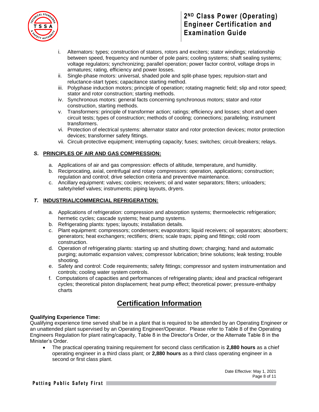

- i. Alternators: types; construction of stators, rotors and exciters; stator windings; relationship between speed, frequency and number of pole pairs; cooling systems; shaft sealing systems; voltage regulators; synchronizing; parallel operation; power factor control, voltage drops in armatures; rating, efficiency and power losses.
- ii. Single-phase motors: universal, shaded pole and split-phase types; repulsion-start and reluctance-start types; capacitance starting method.
- iii. Polyphase induction motors; principle of operation; rotating magnetic field; slip and rotor speed; stator and rotor construction; starting methods.
- iv. Synchronous motors: general facts concerning synchronous motors; stator and rotor construction, starting methods.
- v. Transformers: principle of transformer action; ratings; efficiency and losses; short and open circuit tests; types of construction; methods of cooling; connections; paralleling; instrument transformers.
- vi. Protection of electrical systems: alternator stator and rotor protection devices; motor protection devices; transformer safety fittings.
- vii. Circuit-protective equipment; interrupting capacity; fuses; switches; circuit-breakers; relays.

#### *S***. PRINCIPLES OF AIR AND GAS COMPRESSION:**

- a. Applications of air and gas compression: effects of altitude, temperature, and humidity.
- b. Reciprocating, axial, centrifugal and rotary compressors: operation, applications; construction; regulation and control; drive selection criteria and preventive maintenance.
- c. Ancillary equipment: valves; coolers; receivers; oil and water separators; filters; unloaders; safety/relief valves; instruments; piping layouts, dryers.

#### *T***. INDUSTRIAL/COMMERCIAL REFRIGERATION:**

- a. Applications of refrigeration: compression and absorption systems; thermoelectric refrigeration; hermetic cycles; cascade systems; heat pump systems.
- b. Refrigerating plants: types; layouts; installation details.
- c. Plant equipment: compressors; condensers; evaporators; liquid receivers; oil separators; absorbers; generators; heat exchangers; rectifiers; driers; scale traps; piping and fittings; cold room construction.
- d. Operation of refrigerating plants: starting up and shutting down; charging; hand and automatic purging; automatic expansion valves; compressor lubrication; brine solutions; leak testing; trouble shooting.
- e. Safety and control: Code requirements; safety fittings; compressor and system instrumentation and controls; cooling water system controls.
- f. Computations of capacities and performances of refrigerating plants; ideal and practical refrigerant cycles; theoretical piston displacement; heat pump effect; theoretical power; pressure-enthalpy charts

# **Certification Information**

#### **Qualifying Experience Time:**

Qualifying experience time served shall be in a plant that is required to be attended by an Operating Engineer or an unattended plant supervised by an Operating Engineer/Operator. Please refer to Table 8 of the Operating Engineers Regulation for plant rating/capacity, Table 8 in the Director's Order, or the Alternate Table 8 in the Minister's Order.

• The practical operating training requirement for second class certification is **2,880 hours** as a chief operating engineer in a third class plant; or **2,880 hours** as a third class operating engineer in a second or first class plant.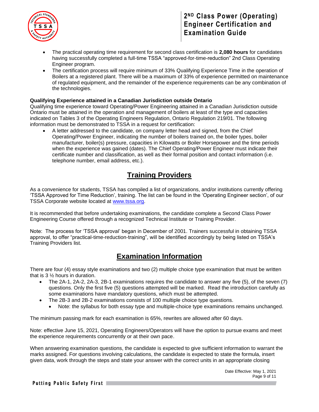

- The practical operating time requirement for second class certification is **2,080 hours** for candidates having successfully completed a full-time TSSA "approved-for-time-reduction" 2nd Class Operating Engineer program.
- The certification process will require minimum of 33% Qualifying Experience Time in the operation of Boilers at a registered plant. There will be a maximum of 33% of experience permitted on maintenance of regulated equipment, and the remainder of the experience requirements can be any combination of the technologies.

#### **Qualifying Experience attained in a Canadian Jurisdiction outside Ontario**

Qualifying time experience toward Operating/Power Engineering attained in a Canadian Jurisdiction outside Ontario must be attained in the operation and management of boilers at least of the type and capacities indicated on Tables 3 of the Operating Engineers Regulation, Ontario Regulation 219/01. The following information must be demonstrated to TSSA in a request for certification:

• A letter addressed to the candidate, on company letter head and signed, from the Chief Operating/Power Engineer, indicating the number of boilers trained on, the boiler types, boiler manufacturer, boiler(s) pressure, capacities in Kilowatts or Boiler Horsepower and the time periods when the experience was gained (dates). The Chief Operating/Power Engineer must indicate their certificate number and classification, as well as their formal position and contact information (i.e. telephone number, email address, etc.).

# **Training Providers**

As a convenience for students, TSSA has compiled a list of organizations, and/or institutions currently offering 'TSSA Approved for Time Reduction', training. The list can be found in the 'Operating Engineer section', of our TSSA Corporate website located at [www.tssa.org.](http://www.tssa.org/)

It is recommended that before undertaking examinations, the candidate complete a Second Class Power Engineering Course offered through a recognized Technical Institute or Training Provider.

Note: The process for 'TSSA approval' began in December of 2001. Trainers successful in obtaining TSSA approval, to offer "practical-time-reduction-training", will be identified accordingly by being listed on TSSA's Training Providers list.

# **Examination Information**

There are four (4) essay style examinations and two (2) multiple choice type examination that must be written that is 3 ½ hours in duration.

- The 2A-1, 2A-2, 2A-3, 2B-1 examinations requires the candidate to answer any five (5), of the seven (7) questions. Only the first five (5) questions attempted will be marked. Read the introduction carefully as some examinations have mandatory questions, which must be attempted.
- The 2B-3 and 2B-2 examinations consists of 100 multiple choice type questions.
	- Note: the syllabus for both essay type and multiple-choice type examinations remains unchanged.

The minimum passing mark for each examination is 65%, rewrites are allowed after 60 days.

Note: effective June 15, 2021, Operating Engineers/Operators will have the option to pursue exams and meet the experience requirements concurrently or at their own pace.

When answering examination questions, the candidate is expected to give sufficient information to warrant the marks assigned. For questions involving calculations, the candidate is expected to state the formula, insert given data, work through the steps and state your answer with the correct units in an appropriate closing

> Date Effective: May 1, 2021 Page 9 of 11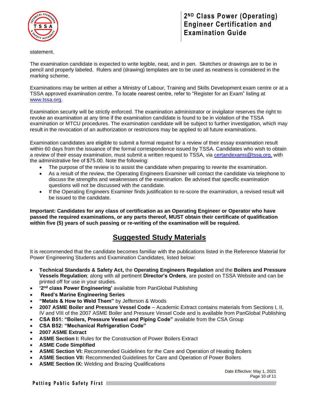

statement.

The examination candidate is expected to write legible, neat, and in pen. Sketches or drawings are to be in pencil and properly labeled. Rulers and (drawing) templates are to be used as neatness is considered in the marking scheme.

Examinations may be written at either a Ministry of Labour, Training and Skills Development exam centre or at a TSSA approved examination centre. To locate nearest centre, refer to "Register for an Exam" listing at [www.tssa.org.](http://www.tssa.org/)

Examination security will be strictly enforced. The examination administrator or invigilator reserves the right to revoke an examination at any time if the examination candidate is found to be in violation of the TSSA examination or MTCU procedures. The examination candidate will be subject to further investigation, which may result in the revocation of an authorization or restrictions may be applied to all future examinations.

Examination candidates are eligible to submit a formal request for a review of their essay examination result within 60 days from the issuance of the formal correspondence issued by TSSA. Candidates who wish to obtain a review of their essay examination, must submit a written request to TSSA, via [certandexams@tssa.org,](mailto:certandexams@tssa.org) with the administrative fee of \$75.00. Note the following:

- The purpose of the review is to assist the candidate when preparing to rewrite the examination.
- As a result of the review, the Operating Engineers Examiner will contact the candidate via telephone to discuss the strengths and weaknesses of the examination. Be advised that specific examination questions will not be discussed with the candidate.
- If the Operating Engineers Examiner finds justification to re-score the examination, a revised result will be issued to the candidate.

**Important: Candidates for any class of certification as an Operating Engineer or Operator who have passed the required examinations, or any parts thereof, MUST obtain their certificate of qualification within five (5) years of such passing or re-writing of the examination will be required.** 

# **Suggested Study Materials**

It is recommended that the candidate becomes familiar with the publications listed in the Reference Material for Power Engineering Students and Examination Candidates, listed below:

- **Technical Standards & Safety Act,** the **Operating Engineers Regulation** and the **Boilers and Pressure Vessels Regulation**; along with all pertinent **Director's Orders**, are posted on TSSA Website and can be printed off for use in your studies.
- **•** '2<sup>nd</sup> class Power Engineering' available from PanGlobal Publishing
- **Reed's Marine Engineering Series**
- **"Metals & How to Weld Them"** by Jefferson & Woods
- **2007 ASME Boiler and Pressure Vessel Code**  Academic Extract contains materials from Sections I, II, IV and VIII of the 2007 ASME Boiler and Pressure Vessel Code and is available from PanGlobal Publishing
- **CSA B51: "Boilers, Pressure Vessel and Piping Code"** available from the CSA Group
- **CSA B52: "Mechanical Refrigeration Code"**
- **2007 ASME Extract**
- **ASME Section I:** Rules for the Construction of Power Boilers Extract
- **ASME Code Simplified**
- **ASME Section VI:** Recommended Guidelines for the Care and Operation of Heating Boilers
- **ASME Section VII:** Recommended Guidelines for Care and Operation of Power Boilers
- **ASME Section IX:** Welding and Brazing Qualifications

Date Effective: May 1, 2021 Page 10 of 11